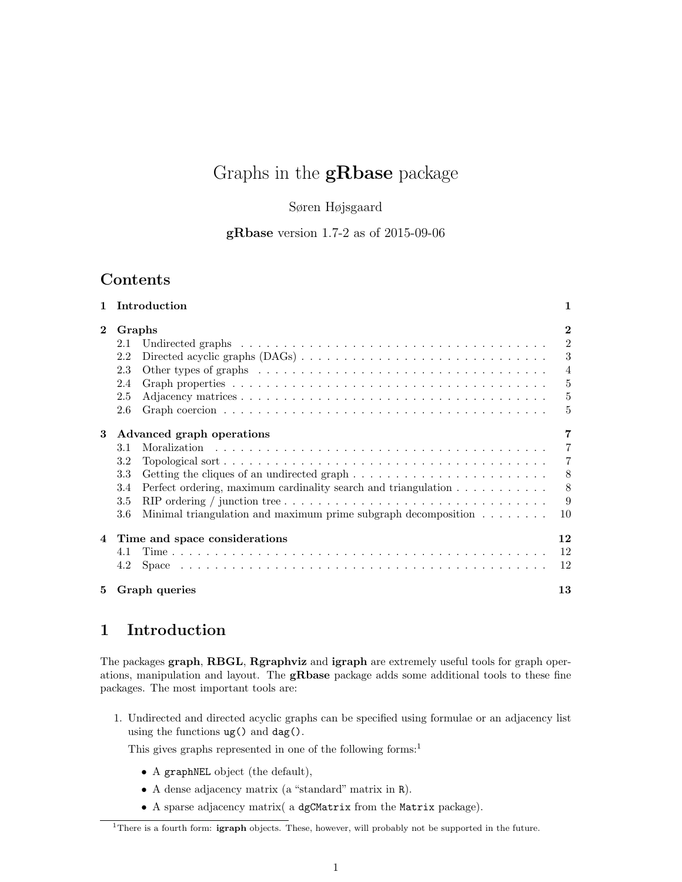# Graphs in the **gRbase** package

### Søren Højsgaard

gRbase version 1.7-2 as of 2015-09-06

## Contents

|              | 1 Introduction                                                                                                      | 1              |
|--------------|---------------------------------------------------------------------------------------------------------------------|----------------|
| $\mathbf{2}$ | Graphs                                                                                                              | $\mathbf{2}$   |
|              | 2.1                                                                                                                 | $\overline{2}$ |
|              | 2.2                                                                                                                 | 3              |
|              | 2.3<br>Other types of graphs $\ldots \ldots \ldots \ldots \ldots \ldots \ldots \ldots \ldots \ldots \ldots$         | $\overline{4}$ |
|              | 2.4                                                                                                                 | 5              |
|              | 2.5                                                                                                                 | $\overline{5}$ |
|              | 2.6                                                                                                                 | 5              |
| 3            | Advanced graph operations                                                                                           | 7              |
|              | 3.1                                                                                                                 | $\overline{7}$ |
|              | 3.2                                                                                                                 | 7              |
|              | 3.3                                                                                                                 | 8              |
|              | Perfect ordering, maximum cardinality search and triangulation<br>3.4                                               | 8              |
|              | RIP ordering / junction tree $\dots \dots \dots \dots \dots \dots \dots \dots \dots \dots \dots \dots \dots$<br>3.5 | 9              |
|              | Minimal triangulation and maximum prime subgraph decomposition $\dots \dots$<br>3.6                                 | 10             |
|              | 4 Time and space considerations                                                                                     | 12             |
|              | 4.1                                                                                                                 | 12             |
|              | 4.2                                                                                                                 | 12             |
| 5            | Graph queries                                                                                                       | 13             |

## 1 Introduction

The packages graph, RBGL, Rgraphviz and igraph are extremely useful tools for graph operations, manipulation and layout. The gRbase package adds some additional tools to these fine packages. The most important tools are:

1. Undirected and directed acyclic graphs can be specified using formulae or an adjacency list using the functions  $ug()$  and  $dag()$ .

This gives graphs represented in one of the following forms:<sup>1</sup>

- A graphNEL object (the default),
- A dense adjacency matrix (a "standard" matrix in R).
- A sparse adjacency matrix( a dgCMatrix from the Matrix package).

<sup>&</sup>lt;sup>1</sup>There is a fourth form: **igraph** objects. These, however, will probably not be supported in the future.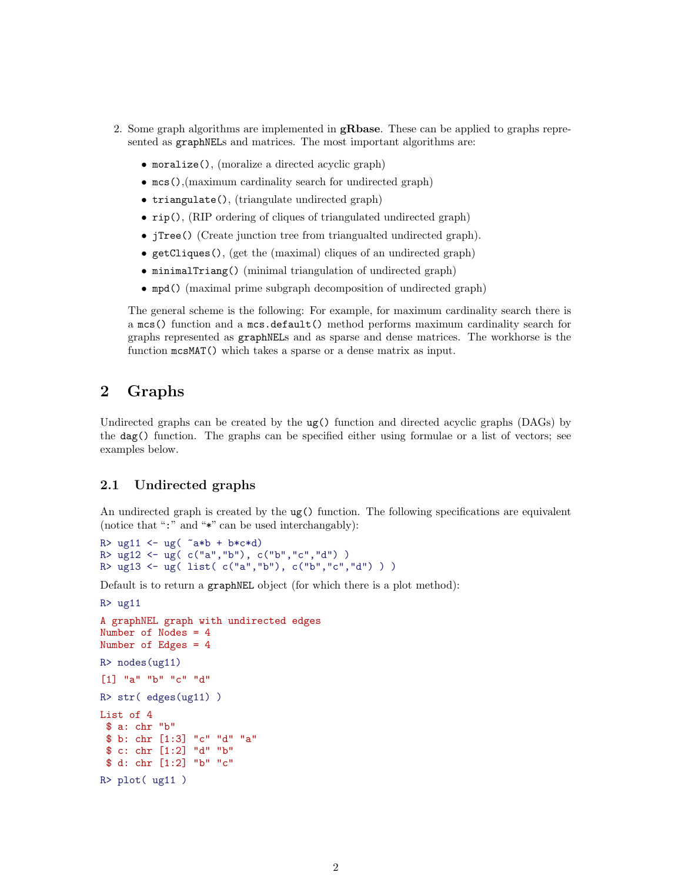- 2. Some graph algorithms are implemented in  $\mathbf{gRbase}$ . These can be applied to graphs represented as **graphNELs** and matrices. The most important algorithms are:
	- moralize(), (moralize a directed acyclic graph)
	- mcs(),(maximum cardinality search for undirected graph)
	- triangulate(), (triangulate undirected graph)
	- rip(), (RIP ordering of cliques of triangulated undirected graph)
	- jTree() (Create junction tree from triangualted undirected graph).
	- getCliques(), (get the (maximal) cliques of an undirected graph)
	- minimalTriang() (minimal triangulation of undirected graph)
	- mpd() (maximal prime subgraph decomposition of undirected graph)

The general scheme is the following: For example, for maximum cardinality search there is a mcs() function and a mcs.default() method performs maximum cardinality search for graphs represented as graphNELs and as sparse and dense matrices. The workhorse is the function mcsMAT() which takes a sparse or a dense matrix as input.

## 2 Graphs

Undirected graphs can be created by the ug() function and directed acyclic graphs (DAGs) by the dag() function. The graphs can be specified either using formulae or a list of vectors; see examples below.

#### 2.1 Undirected graphs

An undirected graph is created by the ug() function. The following specifications are equivalent (notice that ":" and "\*" can be used interchangably):

```
R > ug11 <- ug( a*b + b*c*d)
R> ug12 <- ug( c("a","b"), c("b","c","d") )
R> ug13 <- ug( list( c("a","b"), c("b","c","d") ) )
```
Default is to return a graphNEL object (for which there is a plot method):

```
R > uq11
```

```
A graphNEL graph with undirected edges
Number of Nodes = 4
Number of Edges = 4
R> nodes(ug11)
[1] "a" "b" "c" "d"
R> str( edges(ug11) )
List of 4
$ a: chr "b"
$ b: chr [1:3] "c" "d" "a"
$ c: chr [1:2] "d" "b"
$ d: chr [1:2] "b" "c"
R> plot( ug11 )
```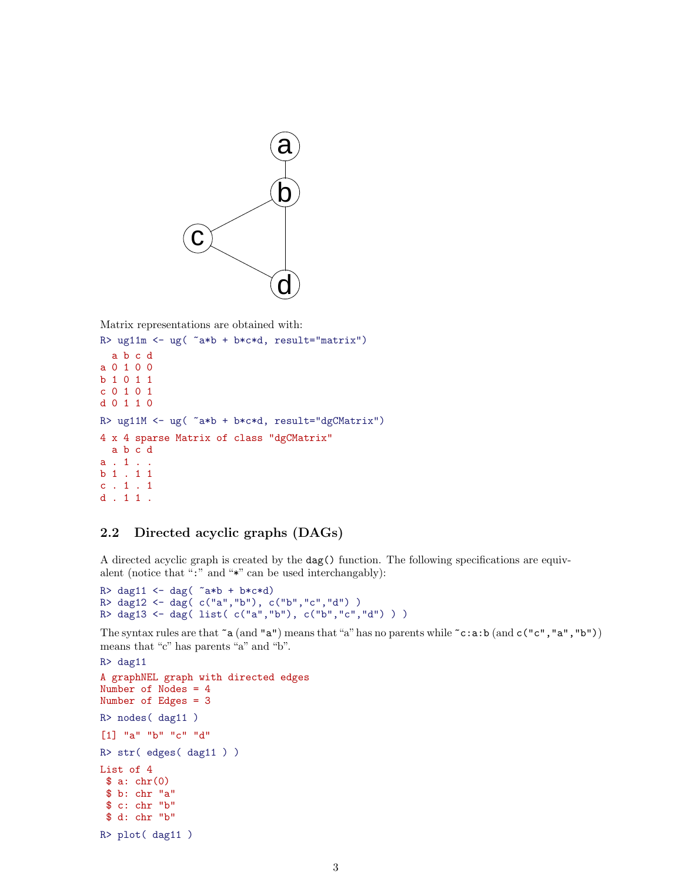

Matrix representations are obtained with:

```
R> ug11m <- ug( ~a*b + b*c*d, result="matrix")
 a b c d
a 0 1 0 0
b 1 0 1 1
c 0 1 0 1
d 0 1 1 0
R> ug11M <- ug( ~a*b + b*c*d, result="dgCMatrix")
4 x 4 sparse Matrix of class "dgCMatrix"
 a b c d
a . 1 . .
b 1 . 1 1
c . 1 . 1
d . 1 1 .
```
### 2.2 Directed acyclic graphs (DAGs)

A directed acyclic graph is created by the dag() function. The following specifications are equivalent (notice that ":" and "\*" can be used interchangably):

```
R> dag11 <- dag(\alpha*b + b*c*d)
R> dag12 <- dag( c("a","b"), c("b","c","d") )
R> dag13 <- dag( list( c("a","b"), c("b","c","d") ) )
```
The syntax rules are that  $\tilde{a}$  (and  $\tilde{a}$ ") means that "a" has no parents while  $\tilde{c}$  : a:b (and  $c(\tilde{c}, \tilde{a}, \tilde{b})$ "a", "b")) means that "c" has parents "a" and "b".

```
R> dag11
A graphNEL graph with directed edges
Number of Nodes = 4
Number of Edges = 3
R> nodes( dag11 )
[1] "a" "b" "c" "d"
R> str( edges( dag11 ) )
List of 4
 $ a: chr(0)$ b: chr "a"
 $ c: chr "b"
 $ d: chr "b"
R> plot( dag11 )
```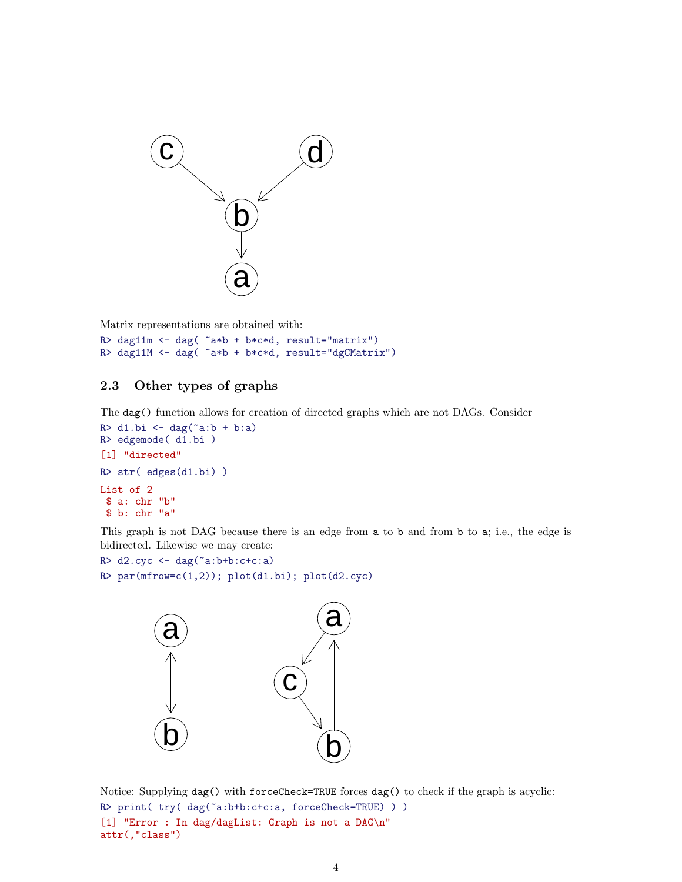

Matrix representations are obtained with:

R> dag11m <- dag( ~a\*b + b\*c\*d, result="matrix") R> dag11M <- dag( ~a\*b + b\*c\*d, result="dgCMatrix")

## 2.3 Other types of graphs

The dag() function allows for creation of directed graphs which are not DAGs. Consider

```
R > d1.bi \leftarrow dag("a:b + b:a)R> edgemode( d1.bi )
[1] "directed"
R> str( edges(d1.bi) )
List of 2
$ a: chr "b"
$ b: chr "a"
```
This graph is not DAG because there is an edge from a to b and from b to a; i.e., the edge is bidirected. Likewise we may create:

```
R > d2.cyc < - dag("a:b+b: c+c:a)R> par(mfrow=c(1,2)); plot(d1.bi); plot(d2.cyc)
```


Notice: Supplying dag() with forceCheck=TRUE forces dag() to check if the graph is acyclic: R> print( try( dag("a:b+b:c+c:a, forceCheck=TRUE) ) ) [1] "Error : In dag/dagList: Graph is not a DAG\n" attr(,"class")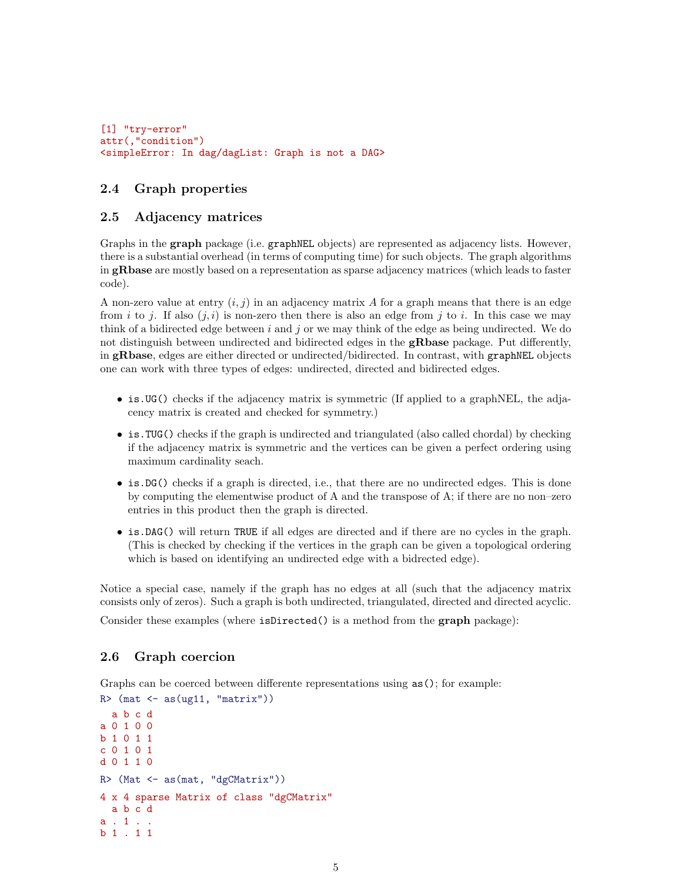```
[1] "try-error"
attr(,"condition")
<simpleError: In dag/dagList: Graph is not a DAG>
```
### 2.4 Graph properties

#### 2.5 Adjacency matrices

Graphs in the **graph** package (i.e. graphNEL objects) are represented as adjacency lists. However, there is a substantial overhead (in terms of computing time) for such objects. The graph algorithms in gRbase are mostly based on a representation as sparse adjacency matrices (which leads to faster code).

A non-zero value at entry  $(i, j)$  in an adjacency matrix A for a graph means that there is an edge from i to j. If also  $(j, i)$  is non-zero then there is also an edge from j to i. In this case we may think of a bidirected edge between i and j or we may think of the edge as being undirected. We do not distinguish between undirected and bidirected edges in the **gRbase** package. Put differently, in gRbase, edges are either directed or undirected/bidirected. In contrast, with graphNEL objects one can work with three types of edges: undirected, directed and bidirected edges.

- is.UG() checks if the adjacency matrix is symmetric (If applied to a graphNEL, the adjacency matrix is created and checked for symmetry.)
- is.TUG() checks if the graph is undirected and triangulated (also called chordal) by checking if the adjacency matrix is symmetric and the vertices can be given a perfect ordering using maximum cardinality seach.
- is. DG() checks if a graph is directed, i.e., that there are no undirected edges. This is done by computing the elementwise product of A and the transpose of A; if there are no non–zero entries in this product then the graph is directed.
- is.DAG() will return TRUE if all edges are directed and if there are no cycles in the graph. (This is checked by checking if the vertices in the graph can be given a topological ordering which is based on identifying an undirected edge with a bidrected edge).

Notice a special case, namely if the graph has no edges at all (such that the adjacency matrix consists only of zeros). Such a graph is both undirected, triangulated, directed and directed acyclic.

Consider these examples (where isDirected() is a method from the **graph** package):

#### 2.6 Graph coercion

Graphs can be coerced between differente representations using  $as()$ ; for example:

```
R (mat \leftarrow as (ug11, "matrix"))
  a b c d
a 0 1 0 0
b 1 0 1 1
c 0 1 0 1
d 0 1 1 0
R> (Mat <- as(mat, "dgCMatrix"))
4 x 4 sparse Matrix of class "dgCMatrix"
  a b c d
a . 1 . .
b 1 . 1 1
```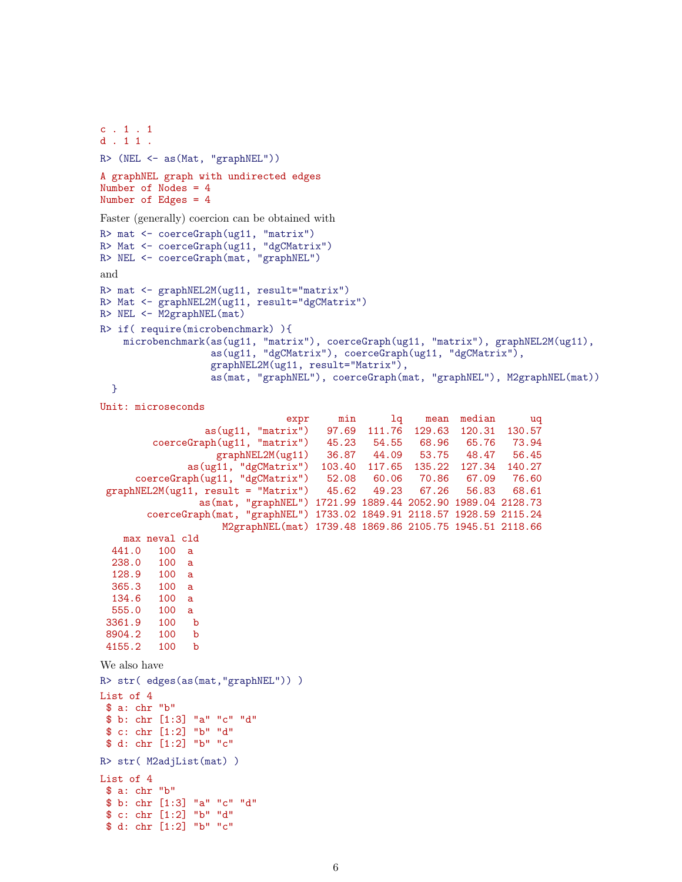```
c . 1 . 1
d . 1 1 .
R> (NEL <- as(Mat, "graphNEL"))
A graphNEL graph with undirected edges
Number of Nodes = 4
Number of Edges = 4
Faster (generally) coercion can be obtained with
R> mat <- coerceGraph(ug11, "matrix")
R> Mat <- coerceGraph(ug11, "dgCMatrix")
R> NEL <- coerceGraph(mat, "graphNEL")
and
R> mat <- graphNEL2M(ug11, result="matrix")
R> Mat <- graphNEL2M(ug11, result="dgCMatrix")
R> NEL <- M2graphNEL(mat)
R> if( require(microbenchmark) ){
    microbenchmark(as(ug11, "matrix"), coerceGraph(ug11, "matrix"), graphNEL2M(ug11),
                   as(ug11, "dgCMatrix"), coerceGraph(ug11, "dgCMatrix"),
                  graphNEL2M(ug11, result="Matrix"),
                  as(mat, "graphNEL"), coerceGraph(mat, "graphNEL"), M2graphNEL(mat))
 }
Unit: microseconds
                  expr min 1q mean median uq<br>as(ug11, "matrix") 97.69 111.76 129.63 120.31 130.57
                                      97.69 111.76 129.63 120.31 130.57
         coerceGraph(ug11, "matrix") 45.23 54.55 68.96 65.76 73.94
                   graphNEL2M(ug11) 36.87 44.09 53.75 48.47 56.45
              as(ug11, "dgCMatrix") 103.40 117.65 135.22 127.34 140.27
      coerceGraph(ug11, "dgCMatrix") 52.08 60.06 70.86 67.09 76.60
 graphNEL2M(ug11, result = "Matrix") 45.62 49.23 67.26 56.83 68.61
                as(mat, "graphNEL") 1721.99 1889.44 2052.90 1989.04 2128.73
        coerceGraph(mat, "graphNEL") 1733.02 1849.91 2118.57 1928.59 2115.24
                    M2graphNEL(mat) 1739.48 1869.86 2105.75 1945.51 2118.66
   max neval cld
  441.0 100 a
  238.0 100 a
 128.9 100 a
        100 a
 134.6 100 a
 555.0 100 a
 3361.9 100 b
8904.2 100 b
 4155.2 100 b
We also have
R> str( edges(as(mat,"graphNEL")) )
List of 4
$ a: chr "b"
$ b: chr [1:3] "a" "c" "d"
$ c: chr [1:2] "b" "d"
 $ d: chr [1:2] "b" "c"
R> str( M2adjList(mat) )
List of 4
$ a: chr "b"
 $ b: chr [1:3] "a" "c" "d"
 $ c: chr [1:2] "b" "d"
 $ d: chr [1:2] "b" "c"
```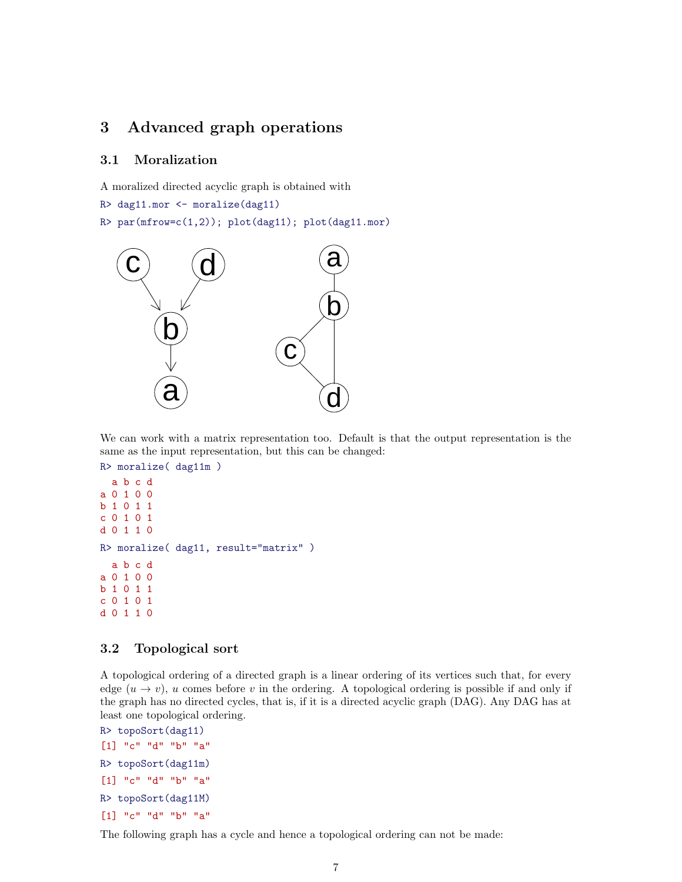## 3 Advanced graph operations

### 3.1 Moralization

A moralized directed acyclic graph is obtained with R> dag11.mor <- moralize(dag11)

```
R> par(mfrow=c(1,2)); plot(dag11); plot(dag11.mor)
```


We can work with a matrix representation too. Default is that the output representation is the same as the input representation, but this can be changed:

```
R> moralize( dag11m )
 a b c d
a 0 1 0 0
b 1 0 1 1
c 0 1 0 1
d 0 1 1 0
R> moralize( dag11, result="matrix" )
 a b c d
a 0 1 0 0
b 1 0 1 1
c 0 1 0 1
d 0 1 1 0
```
### 3.2 Topological sort

A topological ordering of a directed graph is a linear ordering of its vertices such that, for every edge  $(u \to v)$ , u comes before v in the ordering. A topological ordering is possible if and only if the graph has no directed cycles, that is, if it is a directed acyclic graph (DAG). Any DAG has at least one topological ordering.

```
R> topoSort(dag11)
[1] "c" "d" "b" "a"
R> topoSort(dag11m)
[1] "c" "d" "b" "a"
R> topoSort(dag11M)
[1] "c" "d" "b" "a"
```
The following graph has a cycle and hence a topological ordering can not be made: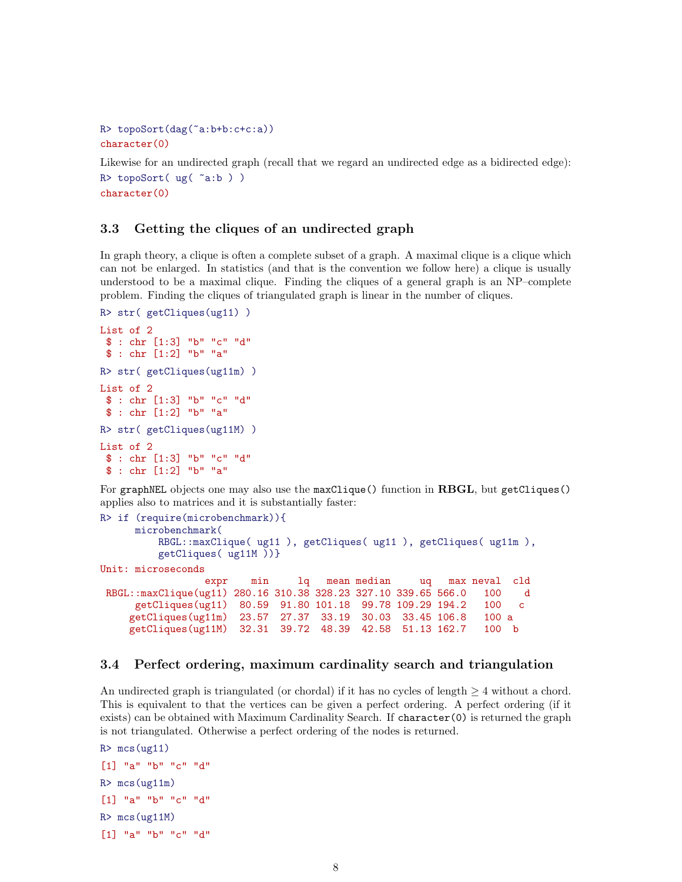```
R> topoSort(dag(~a:b+b:c+c:a))
character(0)
```
Likewise for an undirected graph (recall that we regard an undirected edge as a bidirected edge):  $R$ > topoSort( ug( ~a:b)) character(0)

### 3.3 Getting the cliques of an undirected graph

In graph theory, a clique is often a complete subset of a graph. A maximal clique is a clique which can not be enlarged. In statistics (and that is the convention we follow here) a clique is usually understood to be a maximal clique. Finding the cliques of a general graph is an NP–complete problem. Finding the cliques of triangulated graph is linear in the number of cliques.

```
R> str( getCliques(ug11) )
List of 2
$ : chr [1:3] "b" "c" "d"
$ : chr [1:2] "b" "a"
R> str( getCliques(ug11m) )
List of 2
$ : chr [1:3] "b" "c" "d"
$ : chr [1:2] "b" "a"
R> str( getCliques(ug11M) )
List of 2
$ : chr [1:3] "b" "c" "d"
$ : chr [1:2] "b" "a"
```
For graphNEL objects one may also use the maxClique() function in RBGL, but getCliques() applies also to matrices and it is substantially faster:

```
R> if (require(microbenchmark)){
     microbenchmark(
         RBGL::maxClique( ug11 ), getCliques( ug11 ), getCliques( ug11m ),
         getCliques( ug11M ))}
Unit: microseconds
                expr min lq mean median uq max neval cld
RBGL::maxClique(ug11) 280.16 310.38 328.23 327.10 339.65 566.0 100 d
     getCliques(ug11) 80.59 91.80 101.18 99.78 109.29 194.2 100 c
    getCliques(ug11m) 23.57 27.37 33.19 30.03 33.45 106.8 100 a
    getCliques(ug11M) 32.31 39.72 48.39 42.58 51.13 162.7 100 b
```
#### 3.4 Perfect ordering, maximum cardinality search and triangulation

An undirected graph is triangulated (or chordal) if it has no cycles of length  $\geq 4$  without a chord. This is equivalent to that the vertices can be given a perfect ordering. A perfect ordering (if it exists) can be obtained with Maximum Cardinality Search. If character(0) is returned the graph is not triangulated. Otherwise a perfect ordering of the nodes is returned.

```
R > mcs(ug11)[1] "a" "b" "c" "d"
R> mcs(ug11m)
[1] "a" "b" "c" "d"
R> mcs(ug11M)
[1] "a" "b" "c" "d"
```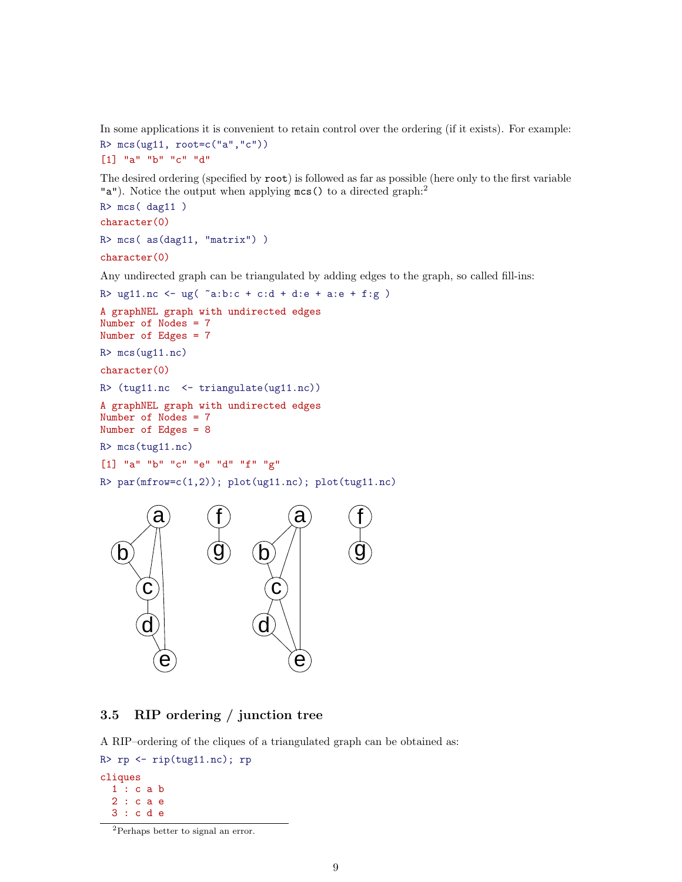In some applications it is convenient to retain control over the ordering (if it exists). For example:  $R > mcs(ug11, root=c("a", "c"))$ 

```
[1] "a" "b" "c" "d"
```
The desired ordering (specified by root) is followed as far as possible (here only to the first variable "a"). Notice the output when applying  $mcs()$  to a directed graph:<sup>2</sup>

```
R> mcs( dag11 )
character(0)
R> mcs( as(dag11, "matrix"))
character(0)
```
Any undirected graph can be triangulated by adding edges to the graph, so called fill-ins:

```
R> ug11.nc <- ug(a:b:c + c:d + d:e + a:e + f:g)
A graphNEL graph with undirected edges
Number of Nodes = 7
Number of Edges = 7
R> mcs(ug11.nc)
character(0)
R> (tug11.nc <- triangulate(ug11.nc))
A graphNEL graph with undirected edges
Number of Nodes = 7
Number of Edges = 8
R> mcs(tug11.nc)
[1] "a" "b" "c" "e" "d" "f" "g"
R > par(mfrow=c(1,2)); plot(ug11.nc); plot(tug11.nc)a
   b
                     f
                     \overline{\mathsf{g}}a
                             \Gammaf
                                               g
```


A RIP–ordering of the cliques of a triangulated graph can be obtained as:

 $\widehat{\mathbf{e}}$ 

 $\boldsymbol{\widetilde{c}}$ 

d

```
R> rp <- rip(tug11.nc); rp
cliques
 1 : c a b
 2 : c a e
 3 : c d e
```
 $\widehat{\mathbf{C}}$ 

d

 $\widehat{\mathbf{e}}$ 

<sup>2</sup>Perhaps better to signal an error.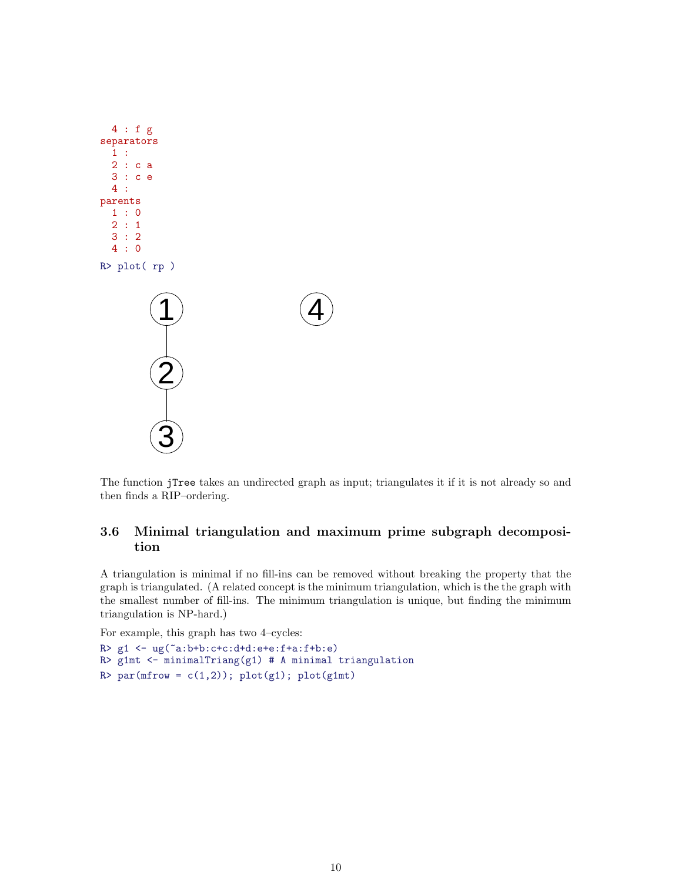

The function jTree takes an undirected graph as input; triangulates it if it is not already so and then finds a RIP–ordering.

### 3.6 Minimal triangulation and maximum prime subgraph decomposition

A triangulation is minimal if no fill-ins can be removed without breaking the property that the graph is triangulated. (A related concept is the minimum triangulation, which is the the graph with the smallest number of fill-ins. The minimum triangulation is unique, but finding the minimum triangulation is NP-hard.)

For example, this graph has two 4–cycles:

```
R> g1 <- ug(~a:b+b:c+c:d+d:e+e:f+a:f+b:e)
R> g1mt <- minimalTriang(g1) # A minimal triangulation
R> par(mfrow = c(1,2)); plot(g1); plot(g1mt)
```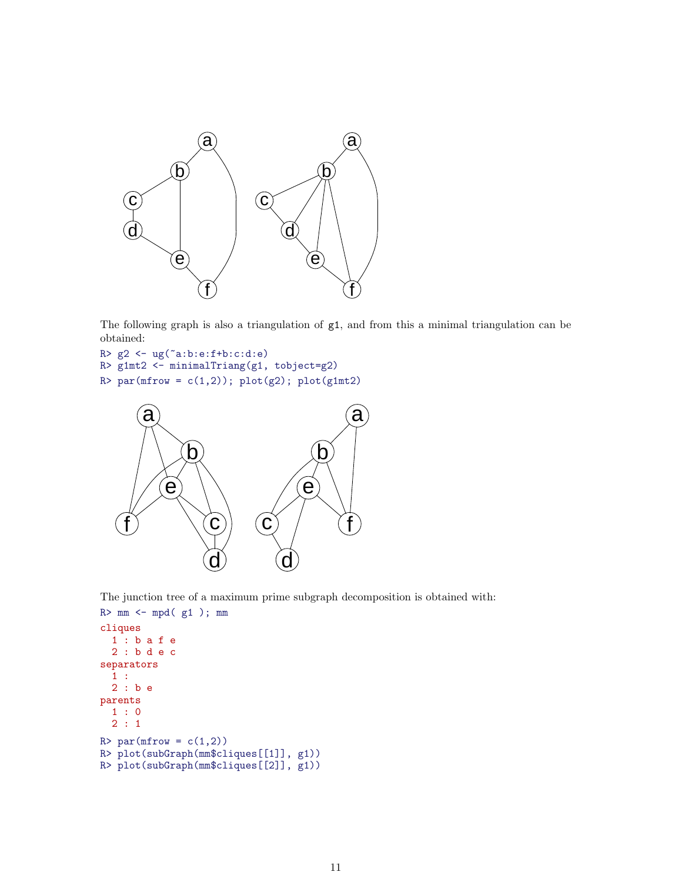

The following graph is also a triangulation of g1, and from this a minimal triangulation can be obtained:

```
R> g2 <- ug(~a:b:e:f+b:c:d:e)
R> g1mt2 <- minimalTriang(g1, tobject=g2)
R > par(mfrow = c(1,2)); plot(g2); plot(g1mt2)
```


The junction tree of a maximum prime subgraph decomposition is obtained with:

```
R> mm < - mgd(g1); mmcliques
 1 : b a f e
 2 : b d e c
separators
 1 :
 2 : b e
parents
 1 : 0
 2 : 1
R > par(mfrow = c(1,2))R> plot(subGraph(mm$cliques[[1]], g1))
R> plot(subGraph(mm$cliques[[2]], g1))
```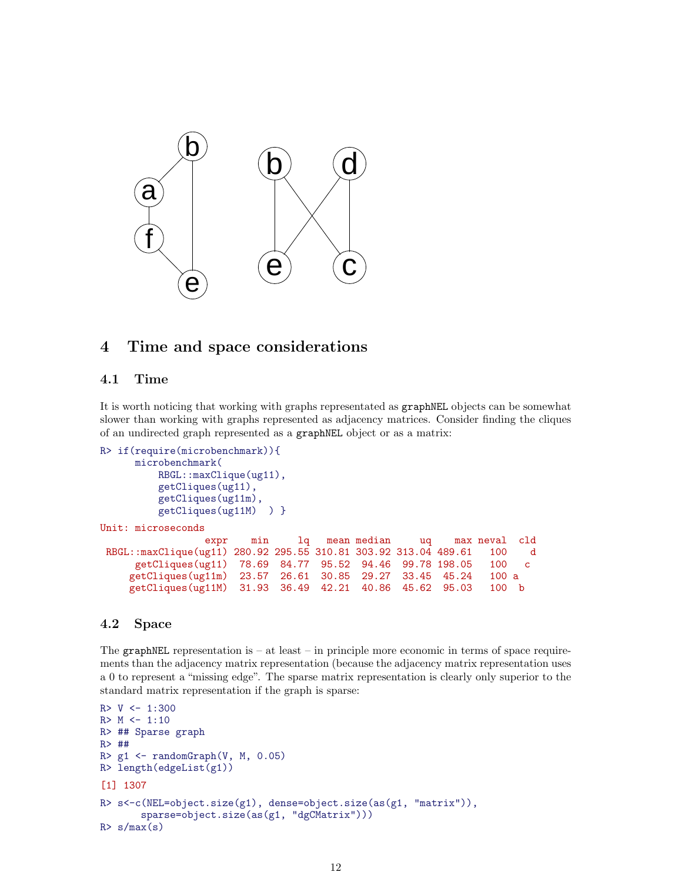

## 4 Time and space considerations

### 4.1 Time

It is worth noticing that working with graphs representated as graphNEL objects can be somewhat slower than working with graphs represented as adjacency matrices. Consider finding the cliques of an undirected graph represented as a graphNEL object or as a matrix:

```
R> if(require(microbenchmark)){
     microbenchmark(
         RBGL::maxClique(ug11),
         getCliques(ug11),
         getCliques(ug11m),
         getCliques(ug11M) ) }
Unit: microseconds
                expr min lq mean median uq max neval cld
RBGL::maxClique(ug11) 280.92 295.55 310.81 303.92 313.04 489.61 100 d
     getCliques(ug11) 78.69 84.77 95.52 94.46 99.78 198.05 100 c
    getCliques(ug11m) 23.57 26.61 30.85 29.27 33.45 45.24 100 a
    getCliques(ug11M) 31.93 36.49 42.21 40.86 45.62 95.03 100 b
```
### 4.2 Space

The graphNEL representation is  $-$  at least  $-$  in principle more economic in terms of space requirements than the adjacency matrix representation (because the adjacency matrix representation uses a 0 to represent a "missing edge". The sparse matrix representation is clearly only superior to the standard matrix representation if the graph is sparse:

```
R > V < -1:300R > M < -1:10R> ## Sparse graph
R> ##
R> g1 \leftarrow \text{randomGraph}(V, M, 0.05)R> length(edgeList(g1))
[1] 1307
R> s<-c(NEL=object.size(g1), dense=object.size(as(g1, "matrix")),
       sparse=object.size(as(g1, "dgCMatrix")))
R > s/max(s)
```